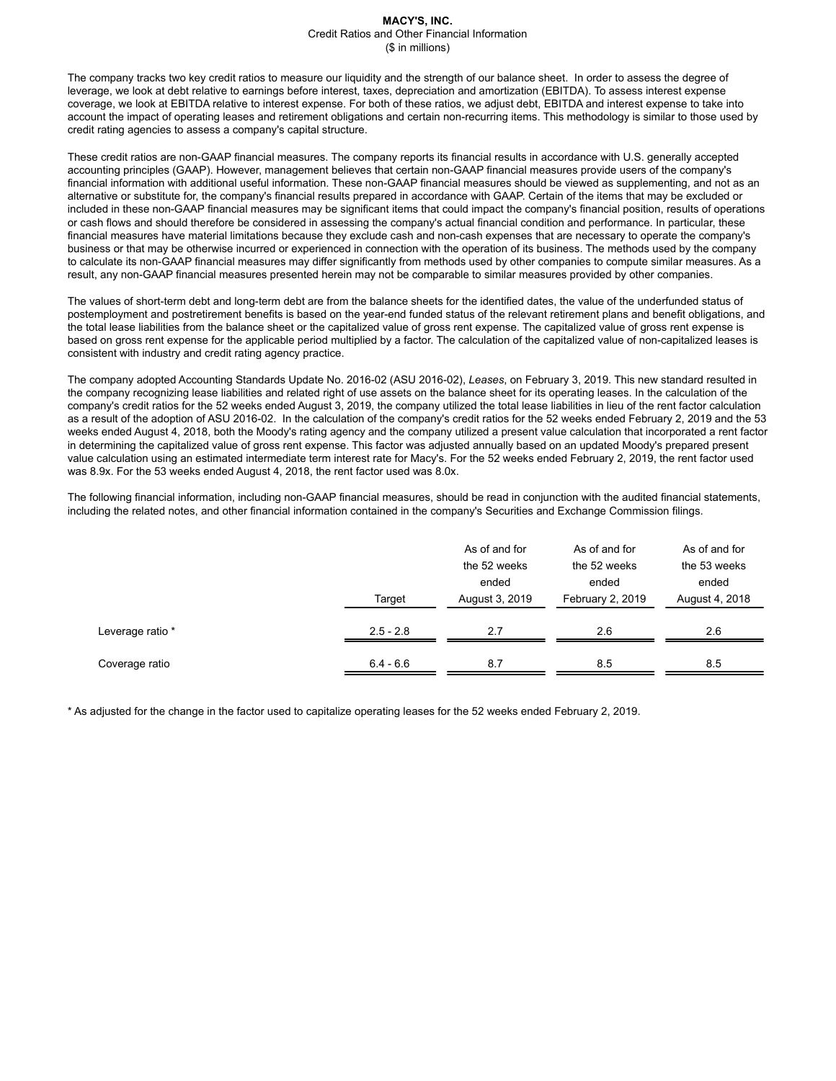#### **MACY'S, INC.** Credit Ratios and Other Financial Information (\$ in millions)

The company tracks two key credit ratios to measure our liquidity and the strength of our balance sheet. In order to assess the degree of leverage, we look at debt relative to earnings before interest, taxes, depreciation and amortization (EBITDA). To assess interest expense coverage, we look at EBITDA relative to interest expense. For both of these ratios, we adjust debt, EBITDA and interest expense to take into account the impact of operating leases and retirement obligations and certain non-recurring items. This methodology is similar to those used by credit rating agencies to assess a company's capital structure.

These credit ratios are non-GAAP financial measures. The company reports its financial results in accordance with U.S. generally accepted accounting principles (GAAP). However, management believes that certain non-GAAP financial measures provide users of the company's financial information with additional useful information. These non-GAAP financial measures should be viewed as supplementing, and not as an alternative or substitute for, the company's financial results prepared in accordance with GAAP. Certain of the items that may be excluded or included in these non-GAAP financial measures may be significant items that could impact the company's financial position, results of operations or cash flows and should therefore be considered in assessing the company's actual financial condition and performance. In particular, these financial measures have material limitations because they exclude cash and non-cash expenses that are necessary to operate the company's business or that may be otherwise incurred or experienced in connection with the operation of its business. The methods used by the company to calculate its non-GAAP financial measures may differ significantly from methods used by other companies to compute similar measures. As a result, any non-GAAP financial measures presented herein may not be comparable to similar measures provided by other companies.

The values of short-term debt and long-term debt are from the balance sheets for the identified dates, the value of the underfunded status of postemployment and postretirement benefits is based on the year-end funded status of the relevant retirement plans and benefit obligations, and the total lease liabilities from the balance sheet or the capitalized value of gross rent expense. The capitalized value of gross rent expense is based on gross rent expense for the applicable period multiplied by a factor. The calculation of the capitalized value of non-capitalized leases is consistent with industry and credit rating agency practice.

The company adopted Accounting Standards Update No. 2016-02 (ASU 2016-02), *Leases*, on February 3, 2019. This new standard resulted in the company recognizing lease liabilities and related right of use assets on the balance sheet for its operating leases. In the calculation of the company's credit ratios for the 52 weeks ended August 3, 2019, the company utilized the total lease liabilities in lieu of the rent factor calculation as a result of the adoption of ASU 2016-02. In the calculation of the company's credit ratios for the 52 weeks ended February 2, 2019 and the 53 weeks ended August 4, 2018, both the Moody's rating agency and the company utilized a present value calculation that incorporated a rent factor in determining the capitalized value of gross rent expense. This factor was adjusted annually based on an updated Moody's prepared present value calculation using an estimated intermediate term interest rate for Macy's. For the 52 weeks ended February 2, 2019, the rent factor used was 8.9x. For the 53 weeks ended August 4, 2018, the rent factor used was 8.0x.

The following financial information, including non-GAAP financial measures, should be read in conjunction with the audited financial statements, including the related notes, and other financial information contained in the company's Securities and Exchange Commission filings.

|                  | Target      | As of and for<br>the 52 weeks<br>ended<br>August 3, 2019 | As of and for<br>the 52 weeks<br>ended<br>February 2, 2019 | As of and for<br>the 53 weeks<br>ended<br>August 4, 2018 |
|------------------|-------------|----------------------------------------------------------|------------------------------------------------------------|----------------------------------------------------------|
| Leverage ratio * | $2.5 - 2.8$ | 2.7                                                      | 2.6                                                        | 2.6                                                      |
| Coverage ratio   | $6.4 - 6.6$ | 8.7                                                      | 8.5                                                        | 8.5                                                      |

\* As adjusted for the change in the factor used to capitalize operating leases for the 52 weeks ended February 2, 2019.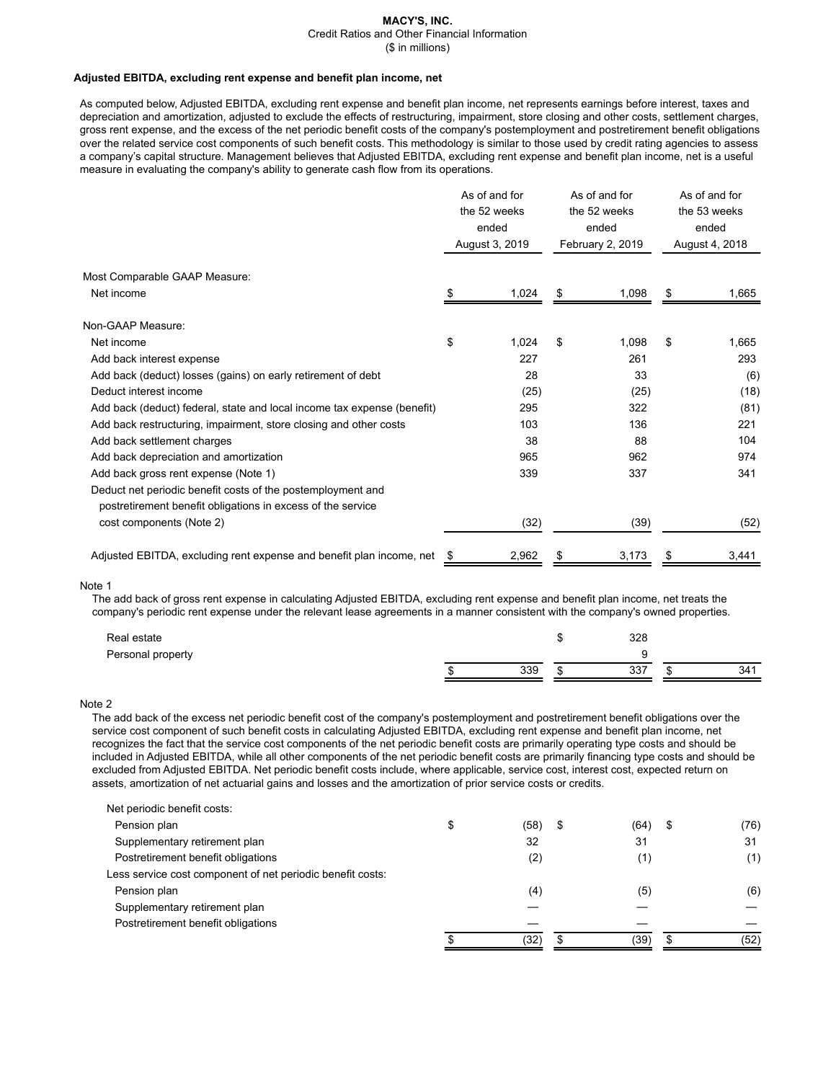# **MACY'S, INC.**

Credit Ratios and Other Financial Information

(\$ in millions)

### **Adjusted EBITDA, excluding rent expense and benefit plan income, net**

As computed below, Adjusted EBITDA, excluding rent expense and benefit plan income, net represents earnings before interest, taxes and depreciation and amortization, adjusted to exclude the effects of restructuring, impairment, store closing and other costs, settlement charges, gross rent expense, and the excess of the net periodic benefit costs of the company's postemployment and postretirement benefit obligations over the related service cost components of such benefit costs. This methodology is similar to those used by credit rating agencies to assess a company's capital structure. Management believes that Adjusted EBITDA, excluding rent expense and benefit plan income, net is a useful measure in evaluating the company's ability to generate cash flow from its operations.

|                                                                                                                            | As of and for<br>the 52 weeks<br>ended<br>August 3, 2019 |       | As of and for<br>the 52 weeks<br>ended<br>February 2, 2019 |       | As of and for<br>the 53 weeks<br>ended<br>August 4, 2018 |       |
|----------------------------------------------------------------------------------------------------------------------------|----------------------------------------------------------|-------|------------------------------------------------------------|-------|----------------------------------------------------------|-------|
| Most Comparable GAAP Measure:                                                                                              |                                                          |       |                                                            |       |                                                          |       |
| Net income                                                                                                                 | S                                                        | 1,024 | S                                                          | 1,098 | S                                                        | 1,665 |
| Non-GAAP Measure:                                                                                                          |                                                          |       |                                                            |       |                                                          |       |
| Net income                                                                                                                 | \$                                                       | 1,024 | \$                                                         | 1,098 | \$                                                       | 1,665 |
| Add back interest expense                                                                                                  |                                                          | 227   |                                                            | 261   |                                                          | 293   |
| Add back (deduct) losses (gains) on early retirement of debt                                                               |                                                          | 28    |                                                            | 33    |                                                          | (6)   |
| Deduct interest income                                                                                                     |                                                          | (25)  |                                                            | (25)  |                                                          | (18)  |
| Add back (deduct) federal, state and local income tax expense (benefit)                                                    |                                                          | 295   |                                                            | 322   |                                                          | (81)  |
| Add back restructuring, impairment, store closing and other costs                                                          |                                                          | 103   |                                                            | 136   |                                                          | 221   |
| Add back settlement charges                                                                                                |                                                          | 38    |                                                            | 88    |                                                          | 104   |
| Add back depreciation and amortization                                                                                     |                                                          | 965   |                                                            | 962   |                                                          | 974   |
| Add back gross rent expense (Note 1)                                                                                       |                                                          | 339   |                                                            | 337   |                                                          | 341   |
| Deduct net periodic benefit costs of the postemployment and<br>postretirement benefit obligations in excess of the service |                                                          |       |                                                            |       |                                                          |       |
| cost components (Note 2)                                                                                                   |                                                          | (32)  |                                                            | (39)  |                                                          | (52)  |
| Adjusted EBITDA, excluding rent expense and benefit plan income, net                                                       | \$                                                       | 2,962 |                                                            | 3,173 |                                                          | 3,441 |

#### Note 1

The add back of gross rent expense in calculating Adjusted EBITDA, excluding rent expense and benefit plan income, net treats the company's periodic rent expense under the relevant lease agreements in a manner consistent with the company's owned properties.

| Real estate       |     | 328 |     |
|-------------------|-----|-----|-----|
| Personal property |     |     |     |
|                   | 339 | 337 | 341 |

## Note 2

The add back of the excess net periodic benefit cost of the company's postemployment and postretirement benefit obligations over the service cost component of such benefit costs in calculating Adjusted EBITDA, excluding rent expense and benefit plan income, net recognizes the fact that the service cost components of the net periodic benefit costs are primarily operating type costs and should be included in Adjusted EBITDA, while all other components of the net periodic benefit costs are primarily financing type costs and should be excluded from Adjusted EBITDA. Net periodic benefit costs include, where applicable, service cost, interest cost, expected return on assets, amortization of net actuarial gains and losses and the amortization of prior service costs or credits.

| Net periodic benefit costs:                                |   |           |            |      |
|------------------------------------------------------------|---|-----------|------------|------|
| Pension plan                                               | S | (58)<br>S | (64)<br>\$ | (76) |
| Supplementary retirement plan                              |   | 32        | 31         | 31   |
| Postretirement benefit obligations                         |   | (2)       | (1)        | (1)  |
| Less service cost component of net periodic benefit costs: |   |           |            |      |
| Pension plan                                               |   | (4)       | (5)        | (6)  |
| Supplementary retirement plan                              |   |           |            |      |
| Postretirement benefit obligations                         |   |           |            |      |
|                                                            |   | (32)      | (39)       | (52) |
|                                                            |   |           |            |      |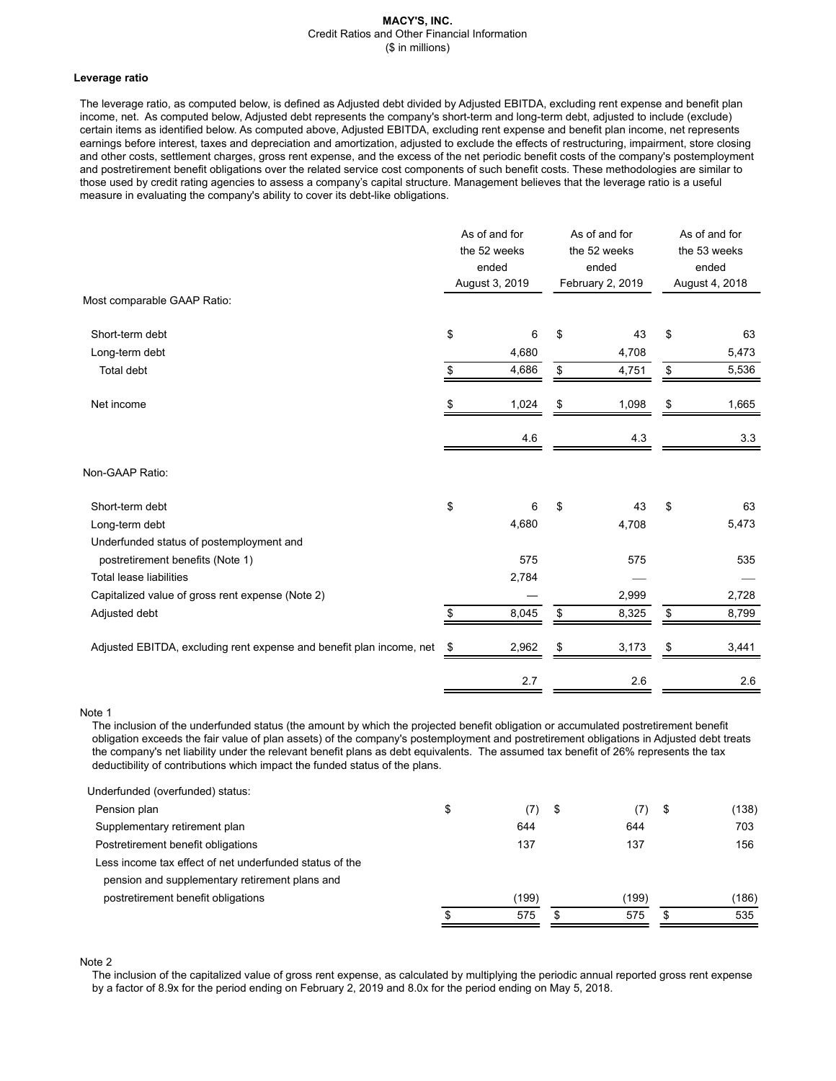#### **MACY'S, INC.** Credit Ratios and Other Financial Information (\$ in millions)

#### **Leverage ratio**

The leverage ratio, as computed below, is defined as Adjusted debt divided by Adjusted EBITDA, excluding rent expense and benefit plan income, net. As computed below, Adjusted debt represents the company's short-term and long-term debt, adjusted to include (exclude) certain items as identified below. As computed above, Adjusted EBITDA, excluding rent expense and benefit plan income, net represents earnings before interest, taxes and depreciation and amortization, adjusted to exclude the effects of restructuring, impairment, store closing and other costs, settlement charges, gross rent expense, and the excess of the net periodic benefit costs of the company's postemployment and postretirement benefit obligations over the related service cost components of such benefit costs. These methodologies are similar to those used by credit rating agencies to assess a company's capital structure. Management believes that the leverage ratio is a useful measure in evaluating the company's ability to cover its debt-like obligations.

| Most comparable GAAP Ratio:                                          |    | As of and for<br>the 52 weeks<br>ended<br>August 3, 2019 |    | As of and for<br>the 52 weeks<br>ended<br>February 2, 2019 |    | As of and for<br>the 53 weeks<br>ended<br>August 4, 2018 |  |
|----------------------------------------------------------------------|----|----------------------------------------------------------|----|------------------------------------------------------------|----|----------------------------------------------------------|--|
|                                                                      |    |                                                          |    |                                                            |    |                                                          |  |
| Short-term debt                                                      | \$ | 6                                                        | \$ | 43                                                         | \$ | 63                                                       |  |
| Long-term debt                                                       |    | 4,680                                                    |    | 4,708                                                      |    | 5,473                                                    |  |
| Total debt                                                           | \$ | 4,686                                                    | \$ | 4,751                                                      | \$ | 5,536                                                    |  |
| Net income                                                           | \$ | 1,024                                                    | \$ | 1,098                                                      | \$ | 1,665                                                    |  |
|                                                                      |    | 4.6                                                      |    | 4.3                                                        |    | 3.3                                                      |  |
| Non-GAAP Ratio:                                                      |    |                                                          |    |                                                            |    |                                                          |  |
| Short-term debt                                                      | \$ | 6                                                        | \$ | 43                                                         | \$ | 63                                                       |  |
| Long-term debt                                                       |    | 4,680                                                    |    | 4,708                                                      |    | 5,473                                                    |  |
| Underfunded status of postemployment and                             |    |                                                          |    |                                                            |    |                                                          |  |
| postretirement benefits (Note 1)                                     |    | 575                                                      |    | 575                                                        |    | 535                                                      |  |
| <b>Total lease liabilities</b>                                       |    | 2,784                                                    |    |                                                            |    |                                                          |  |
| Capitalized value of gross rent expense (Note 2)                     |    |                                                          |    | 2,999                                                      |    | 2,728                                                    |  |
| Adjusted debt                                                        | \$ | 8,045                                                    | \$ | 8,325                                                      | \$ | 8,799                                                    |  |
| Adjusted EBITDA, excluding rent expense and benefit plan income, net | \$ | 2,962                                                    | \$ | 3,173                                                      | \$ | 3,441                                                    |  |
|                                                                      |    | 2.7                                                      |    | 2.6                                                        |    | 2.6                                                      |  |

Note 1

The inclusion of the underfunded status (the amount by which the projected benefit obligation or accumulated postretirement benefit obligation exceeds the fair value of plan assets) of the company's postemployment and postretirement obligations in Adjusted debt treats the company's net liability under the relevant benefit plans as debt equivalents. The assumed tax benefit of 26% represents the tax deductibility of contributions which impact the funded status of the plans.

| Underfunded (overfunded) status:                        |     |       |     |       |             |
|---------------------------------------------------------|-----|-------|-----|-------|-------------|
| Pension plan                                            | \$  | (7)   | -\$ | (7)   | \$<br>(138) |
| Supplementary retirement plan                           |     | 644   |     | 644   | 703         |
| Postretirement benefit obligations                      |     | 137   |     | 137   | 156         |
| Less income tax effect of net underfunded status of the |     |       |     |       |             |
| pension and supplementary retirement plans and          |     |       |     |       |             |
| postretirement benefit obligations                      |     | (199) |     | (199) | (186)       |
|                                                         | \$. | 575   | S   | 575   | 535         |
|                                                         |     |       |     |       |             |

Note 2

The inclusion of the capitalized value of gross rent expense, as calculated by multiplying the periodic annual reported gross rent expense by a factor of 8.9x for the period ending on February 2, 2019 and 8.0x for the period ending on May 5, 2018.